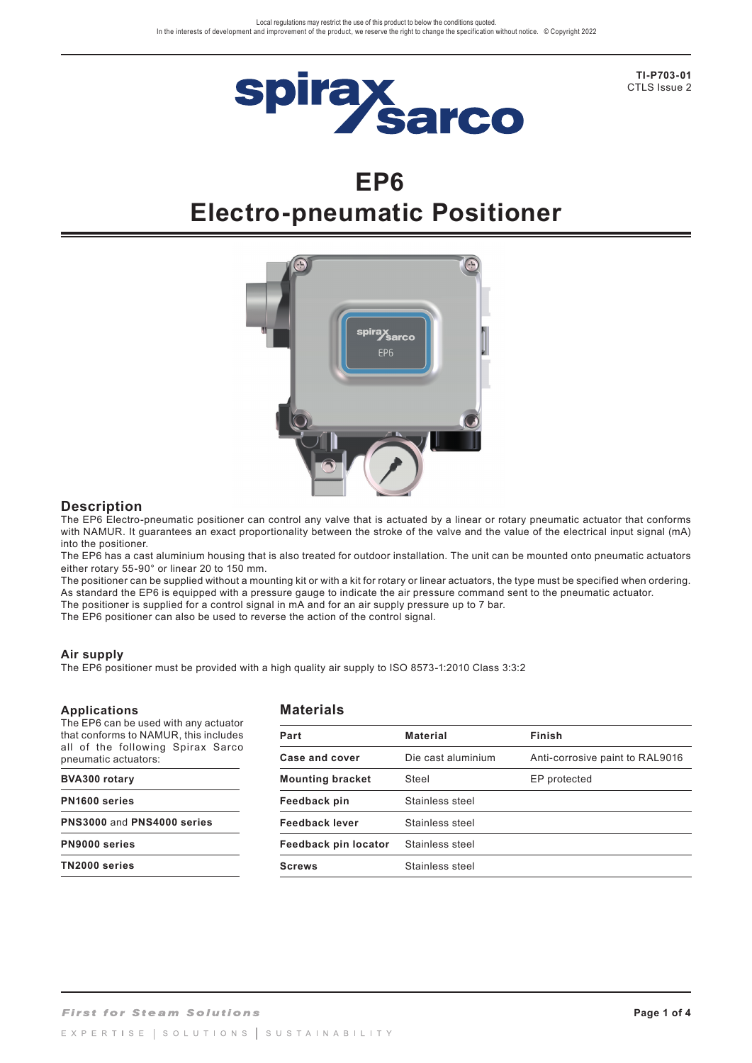

**TI-P703-01** CTLS Issue 2

# **EP6 Electro-pneumatic Positioner**



### **Description**

The EP6 Electro-pneumatic positioner can control any valve that is actuated by a linear or rotary pneumatic actuator that conforms with NAMUR. It guarantees an exact proportionality between the stroke of the valve and the value of the electrical input signal (mA) into the positioner.

The EP6 has a cast aluminium housing that is also treated for outdoor installation. The unit can be mounted onto pneumatic actuators either rotary 55-90° or linear 20 to 150 mm.

The positioner can be supplied without a mounting kit or with a kit for rotary or linear actuators, the type must be specified when ordering. As standard the EP6 is equipped with a pressure gauge to indicate the air pressure command sent to the pneumatic actuator.

The positioner is supplied for a control signal in mA and for an air supply pressure up to 7 bar.

The EP6 positioner can also be used to reverse the action of the control signal.

### **Air supply**

The EP6 positioner must be provided with a high quality air supply to ISO 8573-1:2010 Class 3:3:2

#### **Applications**

## **Materials**

The EP6 can be used with any actuator that conforms to NAMUR, this includes all of the following Spirax Sarco pneumatic actuators:

#### **BVA300 rotary**

**PN1600 series**

**PNS3000** and **PNS4000 series**

**PN9000 series**

**TN2000 series**

| Part                    | <b>Material</b>                                       | Finish       |  |
|-------------------------|-------------------------------------------------------|--------------|--|
| Case and cover          | Die cast aluminium<br>Anti-corrosive paint to RAL9016 |              |  |
| <b>Mounting bracket</b> | Steel                                                 | EP protected |  |
| Feedback pin            | Stainless steel                                       |              |  |
| <b>Feedback lever</b>   | Stainless steel                                       |              |  |
| Feedback pin locator    | Stainless steel                                       |              |  |
| <b>Screws</b>           | Stainless steel                                       |              |  |
|                         |                                                       |              |  |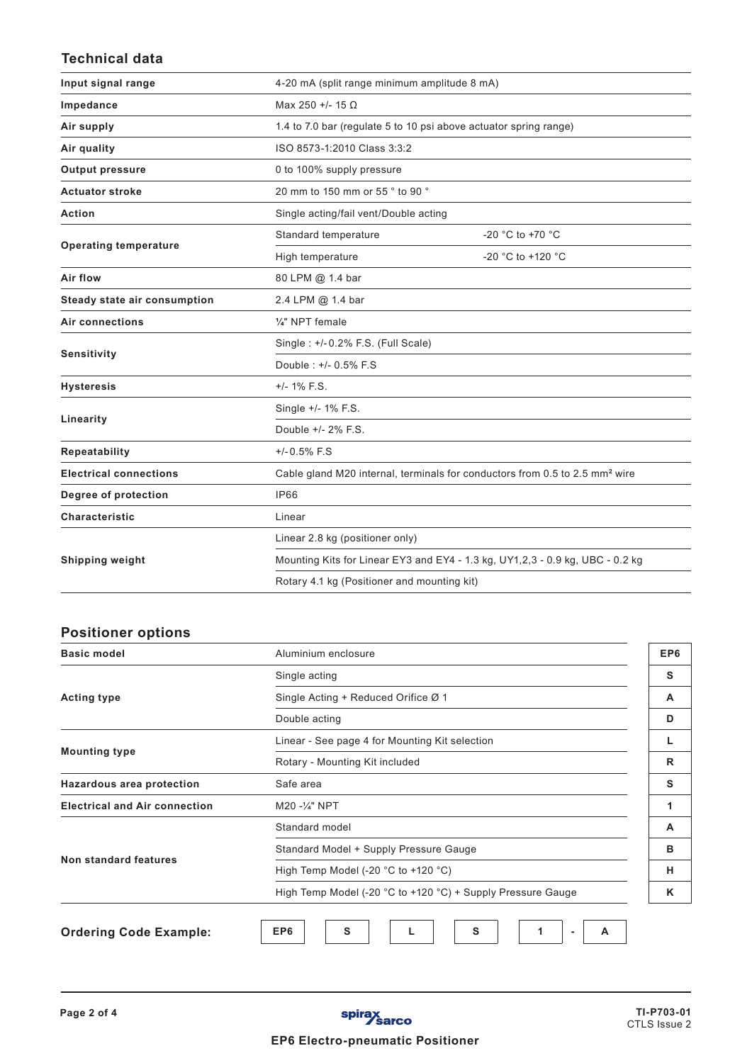# **Technical data**

| Input signal range            |                                                                                         | 4-20 mA (split range minimum amplitude 8 mA)                      |  |  |
|-------------------------------|-----------------------------------------------------------------------------------------|-------------------------------------------------------------------|--|--|
| Impedance                     | Max 250 +/- 15 $\Omega$                                                                 |                                                                   |  |  |
| Air supply                    |                                                                                         | 1.4 to 7.0 bar (regulate 5 to 10 psi above actuator spring range) |  |  |
| Air quality                   | ISO 8573-1:2010 Class 3:3:2                                                             |                                                                   |  |  |
| <b>Output pressure</b>        | 0 to 100% supply pressure                                                               |                                                                   |  |  |
| <b>Actuator stroke</b>        | 20 mm to 150 mm or 55 ° to 90 °                                                         |                                                                   |  |  |
| <b>Action</b>                 |                                                                                         | Single acting/fail vent/Double acting                             |  |  |
|                               | Standard temperature                                                                    | -20 °C to +70 °C                                                  |  |  |
| <b>Operating temperature</b>  | High temperature                                                                        | -20 °C to +120 °C                                                 |  |  |
| Air flow                      | 80 LPM @ 1.4 bar                                                                        |                                                                   |  |  |
| Steady state air consumption  | 2.4 LPM @ 1.4 bar                                                                       |                                                                   |  |  |
| <b>Air connections</b>        | 1/4" NPT female                                                                         |                                                                   |  |  |
| Sensitivity                   | Single: +/-0.2% F.S. (Full Scale)                                                       |                                                                   |  |  |
|                               | Double: +/- 0.5% F.S                                                                    |                                                                   |  |  |
| <b>Hysteresis</b>             | $+/- 1\%$ F.S.                                                                          |                                                                   |  |  |
|                               | Single +/- 1% F.S.                                                                      |                                                                   |  |  |
| Linearity                     | Double +/- 2% F.S.                                                                      |                                                                   |  |  |
| Repeatability                 | $+/-0.5%$ F.S                                                                           |                                                                   |  |  |
| <b>Electrical connections</b> | Cable gland M20 internal, terminals for conductors from 0.5 to 2.5 mm <sup>2</sup> wire |                                                                   |  |  |
| Degree of protection          | IP66                                                                                    |                                                                   |  |  |
| Characteristic                | Linear                                                                                  |                                                                   |  |  |
|                               | Linear 2.8 kg (positioner only)                                                         |                                                                   |  |  |
| <b>Shipping weight</b>        | Mounting Kits for Linear EY3 and EY4 - 1.3 kg, UY1,2,3 - 0.9 kg, UBC - 0.2 kg           |                                                                   |  |  |
|                               | Rotary 4.1 kg (Positioner and mounting kit)                                             |                                                                   |  |  |

# **Positioner options**

| <b>Basic model</b>                   | Aluminium enclosure                                         |  |  |  |
|--------------------------------------|-------------------------------------------------------------|--|--|--|
| <b>Acting type</b>                   | Single acting                                               |  |  |  |
|                                      | Single Acting + Reduced Orifice Ø 1                         |  |  |  |
|                                      | Double acting                                               |  |  |  |
| <b>Mounting type</b>                 | Linear - See page 4 for Mounting Kit selection              |  |  |  |
|                                      | Rotary - Mounting Kit included                              |  |  |  |
| Hazardous area protection            | Safe area                                                   |  |  |  |
| <b>Electrical and Air connection</b> | M20 -1/4" NPT                                               |  |  |  |
| <b>Non standard features</b>         | Standard model                                              |  |  |  |
|                                      | Standard Model + Supply Pressure Gauge                      |  |  |  |
|                                      | High Temp Model (-20 °C to +120 °C)                         |  |  |  |
|                                      | High Temp Model (-20 °C to +120 °C) + Supply Pressure Gauge |  |  |  |
| <b>Ordering Code Example:</b>        | EP6<br>s<br>S<br>A                                          |  |  |  |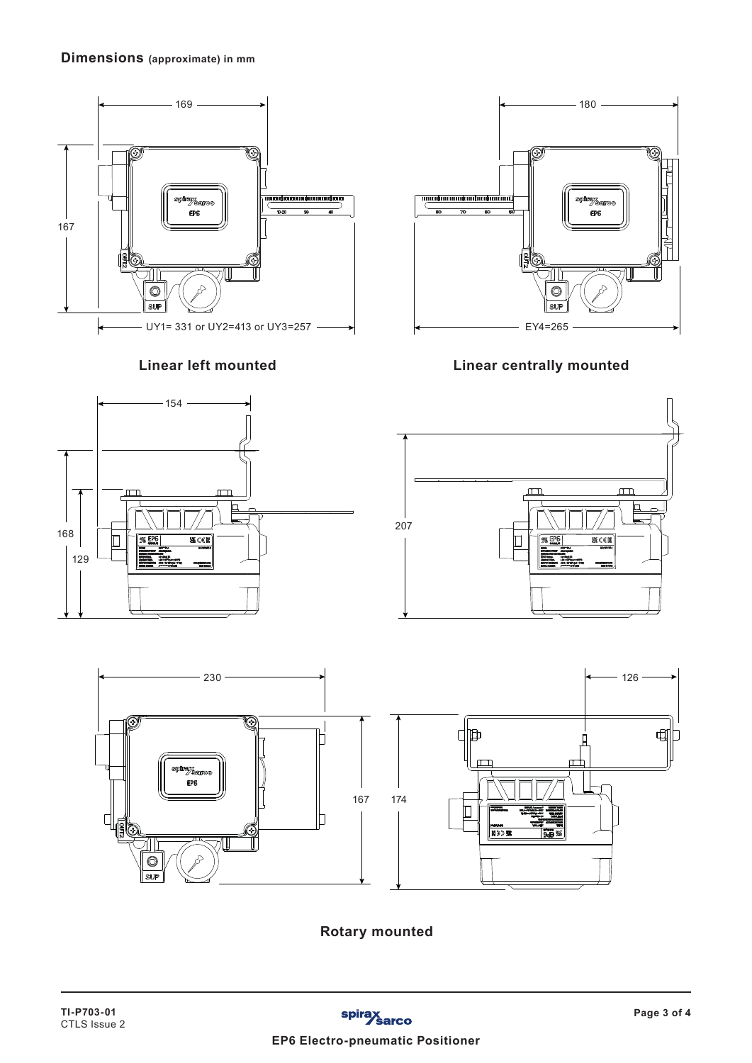# **Dimensions (approximate) in mm**







**Linear left mounted Linear centrally mounted**





**Rotary mounted**